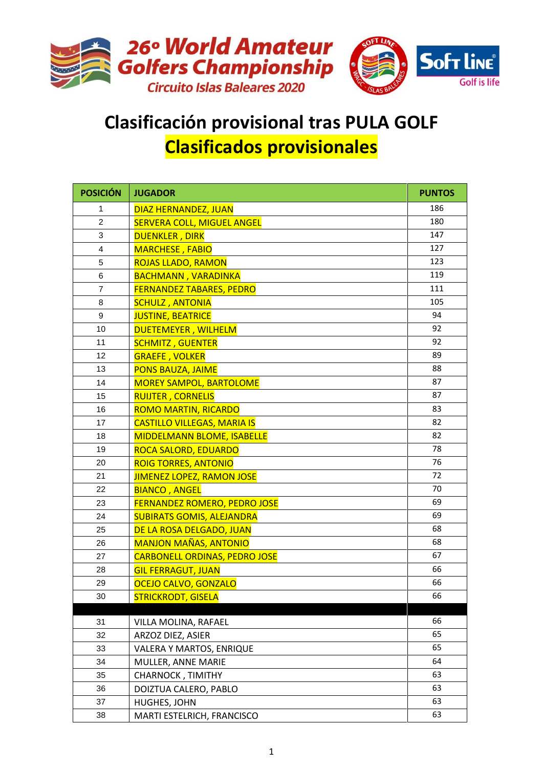

## **Clasificación provisional tras PULA GOLF Clasificados provisionales**

| <b>POSICIÓN</b> | <b>JUGADOR</b>                       | <b>PUNTOS</b> |
|-----------------|--------------------------------------|---------------|
| 1               | DIAZ HERNANDEZ, JUAN                 | 186           |
| $\mathbf{2}$    | <b>SERVERA COLL, MIGUEL ANGEL</b>    | 180           |
| 3               | <b>DUENKLER, DIRK</b>                | 147           |
| 4               | <b>MARCHESE, FABIO</b>               | 127           |
| 5               | <b>ROJAS LLADO, RAMON</b>            | 123           |
| 6               | <b>BACHMANN, VARADINKA</b>           | 119           |
| 7               | <b>FERNANDEZ TABARES, PEDRO</b>      | 111           |
| 8               | <b>SCHULZ, ANTONIA</b>               | 105           |
| 9               | <b>JUSTINE, BEATRICE</b>             | 94            |
| 10              | DUETEMEYER, WILHELM                  | 92            |
| 11              | <b>SCHMITZ, GUENTER</b>              | 92            |
| 12              | <b>GRAEFE, VOLKER</b>                | 89            |
| 13              | <b>PONS BAUZA, JAIME</b>             | 88            |
| 14              | <b>MOREY SAMPOL, BARTOLOME</b>       | 87            |
| 15              | <b>RUIJTER, CORNELIS</b>             | 87            |
| 16              | <b>ROMO MARTIN, RICARDO</b>          | 83            |
| 17              | <b>CASTILLO VILLEGAS, MARIA IS</b>   | 82            |
| 18              | <b>MIDDELMANN BLOME, ISABELLE</b>    | 82            |
| 19              | <b>ROCA SALORD, EDUARDO</b>          | 78            |
| 20              | <b>ROIG TORRES, ANTONIO</b>          | 76            |
| 21              | <b>JIMENEZ LOPEZ, RAMON JOSE</b>     | 72            |
| 22              | <b>BIANCO, ANGEL</b>                 | 70            |
| 23              | <b>FERNANDEZ ROMERO, PEDRO JOSE</b>  | 69            |
| 24              | <b>SUBIRATS GOMIS, ALEJANDRA</b>     | 69            |
| 25              | DE LA ROSA DELGADO, JUAN             | 68            |
| 26              | <b>MANJON MAÑAS, ANTONIO</b>         | 68            |
| 27              | <b>CARBONELL ORDINAS, PEDRO JOSE</b> | 67            |
| 28              | <b>GIL FERRAGUT, JUAN</b>            | 66            |
| 29              | OCEJO CALVO, GONZALO                 | 66            |
| 30              | <b>STRICKRODT, GISELA</b>            | 66            |
| 31              | VILLA MOLINA, RAFAEL                 | 66            |
| 32              | ARZOZ DIEZ, ASIER                    | 65            |
| 33              | VALERA Y MARTOS, ENRIQUE             | 65            |
| 34              | MULLER, ANNE MARIE                   | 64            |
| 35              | CHARNOCK, TIMITHY                    | 63            |
| 36              | DOIZTUA CALERO, PABLO                | 63            |
| 37              | HUGHES, JOHN                         | 63            |
| 38              | MARTI ESTELRICH, FRANCISCO           | 63            |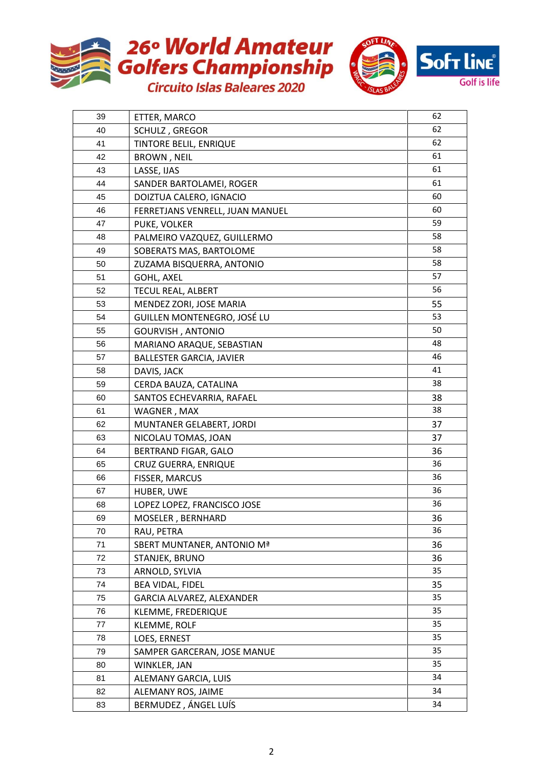



| 39 | ETTER, MARCO                    | 62 |
|----|---------------------------------|----|
| 40 | SCHULZ, GREGOR                  | 62 |
| 41 | TINTORE BELIL, ENRIQUE          | 62 |
| 42 | <b>BROWN, NEIL</b>              | 61 |
| 43 | LASSE, IJAS                     | 61 |
| 44 | SANDER BARTOLAMEI, ROGER        | 61 |
| 45 | DOIZTUA CALERO, IGNACIO         | 60 |
| 46 | FERRETJANS VENRELL, JUAN MANUEL | 60 |
| 47 | PUKE, VOLKER                    | 59 |
| 48 | PALMEIRO VAZQUEZ, GUILLERMO     | 58 |
| 49 | SOBERATS MAS, BARTOLOME         | 58 |
| 50 | ZUZAMA BISQUERRA, ANTONIO       | 58 |
| 51 | <b>GOHL, AXEL</b>               | 57 |
| 52 | <b>TECUL REAL, ALBERT</b>       | 56 |
| 53 | MENDEZ ZORI, JOSE MARIA         | 55 |
| 54 | GUILLEN MONTENEGRO, JOSÉ LU     | 53 |
| 55 | <b>GOURVISH, ANTONIO</b>        | 50 |
| 56 | MARIANO ARAQUE, SEBASTIAN       | 48 |
| 57 | <b>BALLESTER GARCIA, JAVIER</b> | 46 |
| 58 | DAVIS, JACK                     | 41 |
| 59 | CERDA BAUZA, CATALINA           | 38 |
| 60 | SANTOS ECHEVARRIA, RAFAEL       | 38 |
| 61 | WAGNER, MAX                     | 38 |
| 62 | MUNTANER GELABERT, JORDI        | 37 |
| 63 | NICOLAU TOMAS, JOAN             | 37 |
| 64 | BERTRAND FIGAR, GALO            | 36 |
| 65 | <b>CRUZ GUERRA, ENRIQUE</b>     | 36 |
| 66 | FISSER, MARCUS                  | 36 |
| 67 | HUBER, UWE                      | 36 |
| 68 | LOPEZ LOPEZ, FRANCISCO JOSE     | 36 |
| 69 | MOSELER, BERNHARD               | 36 |
| 70 | RAU, PETRA                      | 36 |
| 71 | SBERT MUNTANER, ANTONIO Mª      | 36 |
| 72 | STANJEK, BRUNO                  | 36 |
| 73 | ARNOLD, SYLVIA                  | 35 |
| 74 | BEA VIDAL, FIDEL                | 35 |
| 75 | GARCIA ALVAREZ, ALEXANDER       | 35 |
| 76 | KLEMME, FREDERIQUE              | 35 |
| 77 | KLEMME, ROLF                    | 35 |
| 78 | LOES, ERNEST                    | 35 |
| 79 | SAMPER GARCERAN, JOSE MANUE     | 35 |
| 80 | WINKLER, JAN                    | 35 |
| 81 | ALEMANY GARCIA, LUIS            | 34 |
| 82 | ALEMANY ROS, JAIME              | 34 |
| 83 | BERMUDEZ, ÁNGEL LUÍS            | 34 |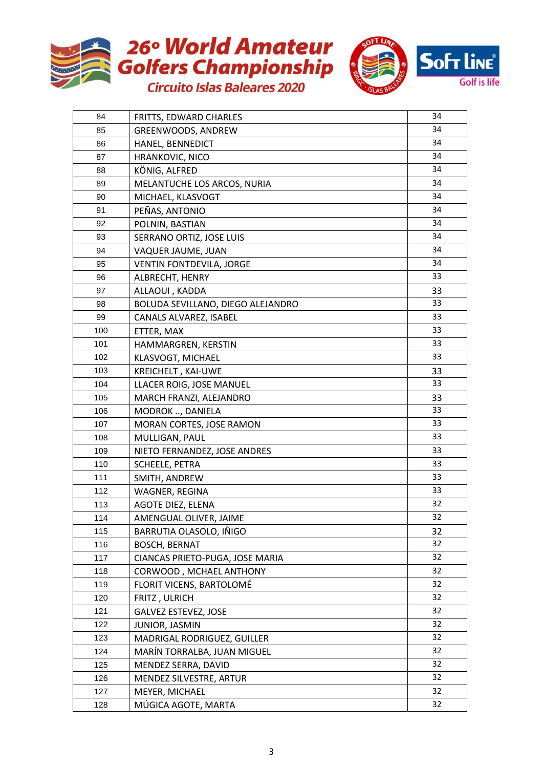



| 84  | FRITTS, EDWARD CHARLES            | 34 |
|-----|-----------------------------------|----|
| 85  | GREENWOODS, ANDREW                | 34 |
| 86  | HANEL, BENNEDICT                  | 34 |
| 87  | <b>HRANKOVIC, NICO</b>            | 34 |
| 88  | KÖNIG, ALFRED                     | 34 |
| 89  | MELANTUCHE LOS ARCOS, NURIA       | 34 |
| 90  | MICHAEL, KLASVOGT                 | 34 |
| 91  | PEÑAS, ANTONIO                    | 34 |
| 92  | POLNIN, BASTIAN                   | 34 |
| 93  | SERRANO ORTIZ, JOSE LUIS          | 34 |
| 94  | VAQUER JAUME, JUAN                | 34 |
| 95  | <b>VENTIN FONTDEVILA, JORGE</b>   | 34 |
| 96  | ALBRECHT, HENRY                   | 33 |
| 97  | ALLAOUI, KADDA                    | 33 |
| 98  | BOLUDA SEVILLANO, DIEGO ALEJANDRO | 33 |
| 99  | CANALS ALVAREZ, ISABEL            | 33 |
| 100 | ETTER, MAX                        | 33 |
| 101 | HAMMARGREN, KERSTIN               | 33 |
| 102 | KLASVOGT, MICHAEL                 | 33 |
| 103 | KREICHELT, KAI-UWE                | 33 |
| 104 | LLACER ROIG, JOSE MANUEL          | 33 |
| 105 | MARCH FRANZI, ALEJANDRO           | 33 |
| 106 | MODROK , DANIELA                  | 33 |
| 107 | MORAN CORTES, JOSE RAMON          | 33 |
| 108 | MULLIGAN, PAUL                    | 33 |
| 109 | NIETO FERNANDEZ, JOSE ANDRES      | 33 |
| 110 | <b>SCHEELE, PETRA</b>             | 33 |
| 111 | SMITH, ANDREW                     | 33 |
| 112 | WAGNER, REGINA                    | 33 |
| 113 | AGOTE DIEZ, ELENA                 | 32 |
| 114 | AMENGUAL OLIVER, JAIME            | 32 |
| 115 | BARRUTIA OLASOLO, IÑIGO           | 32 |
| 116 | <b>BOSCH, BERNAT</b>              | 32 |
| 117 | CIANCAS PRIETO-PUGA, JOSE MARIA   | 32 |
| 118 | CORWOOD, MCHAEL ANTHONY           | 32 |
| 119 | FLORIT VICENS, BARTOLOMÉ          | 32 |
| 120 | FRITZ, ULRICH                     | 32 |
| 121 | <b>GALVEZ ESTEVEZ, JOSE</b>       | 32 |
| 122 | JUNIOR, JASMIN                    | 32 |
| 123 | MADRIGAL RODRIGUEZ, GUILLER       | 32 |
| 124 | MARÍN TORRALBA, JUAN MIGUEL       | 32 |
| 125 | MENDEZ SERRA, DAVID               | 32 |
| 126 | MENDEZ SILVESTRE, ARTUR           | 32 |
| 127 | MEYER, MICHAEL                    | 32 |
| 128 | MÚGICA AGOTE, MARTA               | 32 |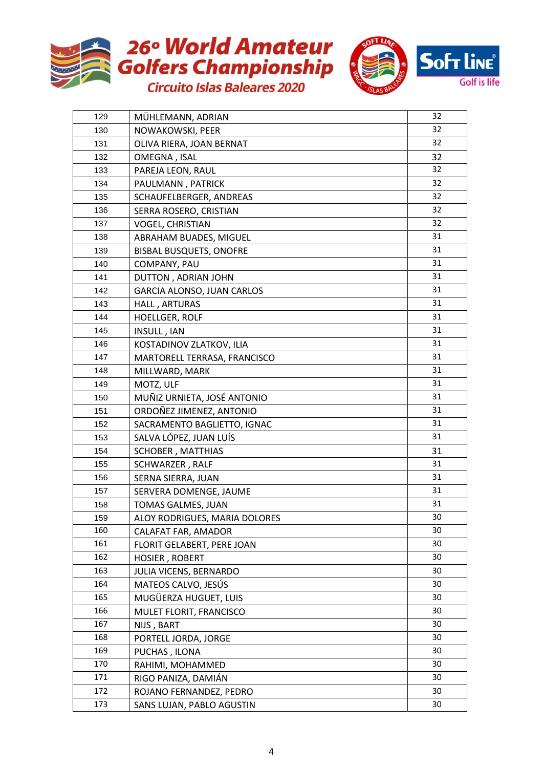



| 129 | MÜHLEMANN, ADRIAN              | 32 |
|-----|--------------------------------|----|
| 130 | NOWAKOWSKI, PEER               | 32 |
| 131 | OLIVA RIERA, JOAN BERNAT       | 32 |
| 132 | OMEGNA, ISAL                   | 32 |
| 133 | PAREJA LEON, RAUL              | 32 |
| 134 | PAULMANN, PATRICK              | 32 |
| 135 | SCHAUFELBERGER, ANDREAS        | 32 |
| 136 | SERRA ROSERO, CRISTIAN         | 32 |
| 137 | <b>VOGEL, CHRISTIAN</b>        | 32 |
| 138 | ABRAHAM BUADES, MIGUEL         | 31 |
| 139 | <b>BISBAL BUSQUETS, ONOFRE</b> | 31 |
| 140 | COMPANY, PAU                   | 31 |
| 141 | DUTTON, ADRIAN JOHN            | 31 |
| 142 | GARCIA ALONSO, JUAN CARLOS     | 31 |
| 143 | HALL, ARTURAS                  | 31 |
| 144 | <b>HOELLGER, ROLF</b>          | 31 |
| 145 | INSULL, IAN                    | 31 |
| 146 | KOSTADINOV ZLATKOV, ILIA       | 31 |
| 147 | MARTORELL TERRASA, FRANCISCO   | 31 |
| 148 | MILLWARD, MARK                 | 31 |
| 149 | MOTZ, ULF                      | 31 |
| 150 | MUÑIZ URNIETA, JOSÉ ANTONIO    | 31 |
| 151 | ORDOÑEZ JIMENEZ, ANTONIO       | 31 |
| 152 | SACRAMENTO BAGLIETTO, IGNAC    | 31 |
| 153 | SALVA LÓPEZ, JUAN LUÍS         | 31 |
| 154 | SCHOBER, MATTHIAS              | 31 |
| 155 | SCHWARZER, RALF                | 31 |
| 156 | SERNA SIERRA, JUAN             | 31 |
| 157 | SERVERA DOMENGE, JAUME         | 31 |
| 158 | TOMAS GALMES, JUAN             | 31 |
| 159 | ALOY RODRIGUES, MARIA DOLORES  | 30 |
| 160 | CALAFAT FAR, AMADOR            | 30 |
| 161 | FLORIT GELABERT, PERE JOAN     | 30 |
| 162 | HOSIER, ROBERT                 | 30 |
| 163 | JULIA VICENS, BERNARDO         | 30 |
| 164 | MATEOS CALVO, JESÚS            | 30 |
| 165 | MUGÜERZA HUGUET, LUIS          | 30 |
| 166 | MULET FLORIT, FRANCISCO        | 30 |
| 167 | NIJS, BART                     | 30 |
| 168 | PORTELL JORDA, JORGE           | 30 |
| 169 | PUCHAS, ILONA                  | 30 |
| 170 | RAHIMI, MOHAMMED               | 30 |
| 171 | RIGO PANIZA, DAMIÁN            | 30 |
| 172 | ROJANO FERNANDEZ, PEDRO        | 30 |
| 173 | SANS LUJAN, PABLO AGUSTIN      | 30 |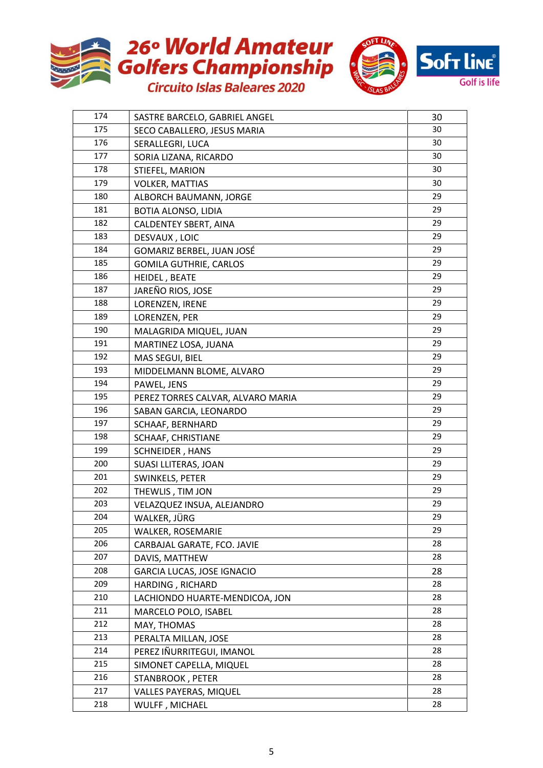



| 174 | SASTRE BARCELO, GABRIEL ANGEL     | 30 |
|-----|-----------------------------------|----|
| 175 | SECO CABALLERO, JESUS MARIA       | 30 |
| 176 | SERALLEGRI, LUCA                  | 30 |
| 177 | SORIA LIZANA, RICARDO             | 30 |
| 178 | STIEFEL, MARION                   | 30 |
| 179 | <b>VOLKER, MATTIAS</b>            | 30 |
| 180 | ALBORCH BAUMANN, JORGE            | 29 |
| 181 | BOTIA ALONSO, LIDIA               | 29 |
| 182 | CALDENTEY SBERT, AINA             | 29 |
| 183 | DESVAUX, LOIC                     | 29 |
| 184 | GOMARIZ BERBEL, JUAN JOSÉ         | 29 |
| 185 | <b>GOMILA GUTHRIE, CARLOS</b>     | 29 |
| 186 | HEIDEL, BEATE                     | 29 |
| 187 | JAREÑO RIOS, JOSE                 | 29 |
| 188 | LORENZEN, IRENE                   | 29 |
| 189 | LORENZEN, PER                     | 29 |
| 190 | MALAGRIDA MIQUEL, JUAN            | 29 |
| 191 | MARTINEZ LOSA, JUANA              | 29 |
| 192 | MAS SEGUI, BIEL                   | 29 |
| 193 | MIDDELMANN BLOME, ALVARO          | 29 |
| 194 | PAWEL, JENS                       | 29 |
| 195 | PEREZ TORRES CALVAR, ALVARO MARIA | 29 |
| 196 | SABAN GARCIA, LEONARDO            | 29 |
| 197 | SCHAAF, BERNHARD                  | 29 |
| 198 | SCHAAF, CHRISTIANE                | 29 |
| 199 | SCHNEIDER, HANS                   | 29 |
| 200 | <b>SUASI LLITERAS, JOAN</b>       | 29 |
| 201 | SWINKELS, PETER                   | 29 |
| 202 | THEWLIS, TIM JON                  | 29 |
| 203 | VELAZQUEZ INSUA, ALEJANDRO        | 29 |
| 204 | WALKER, JÜRG                      | 29 |
| 205 | WALKER, ROSEMARIE                 | 29 |
| 206 | CARBAJAL GARATE, FCO. JAVIE       | 28 |
| 207 | DAVIS, MATTHEW                    | 28 |
| 208 | <b>GARCIA LUCAS, JOSE IGNACIO</b> | 28 |
| 209 | HARDING, RICHARD                  | 28 |
| 210 | LACHIONDO HUARTE-MENDICOA, JON    | 28 |
| 211 | MARCELO POLO, ISABEL              | 28 |
| 212 | MAY, THOMAS                       | 28 |
| 213 | PERALTA MILLAN, JOSE              | 28 |
| 214 | PEREZ IÑURRITEGUI, IMANOL         | 28 |
| 215 | SIMONET CAPELLA, MIQUEL           | 28 |
| 216 | STANBROOK, PETER                  | 28 |
| 217 | <b>VALLES PAYERAS, MIQUEL</b>     | 28 |
| 218 | WULFF, MICHAEL                    | 28 |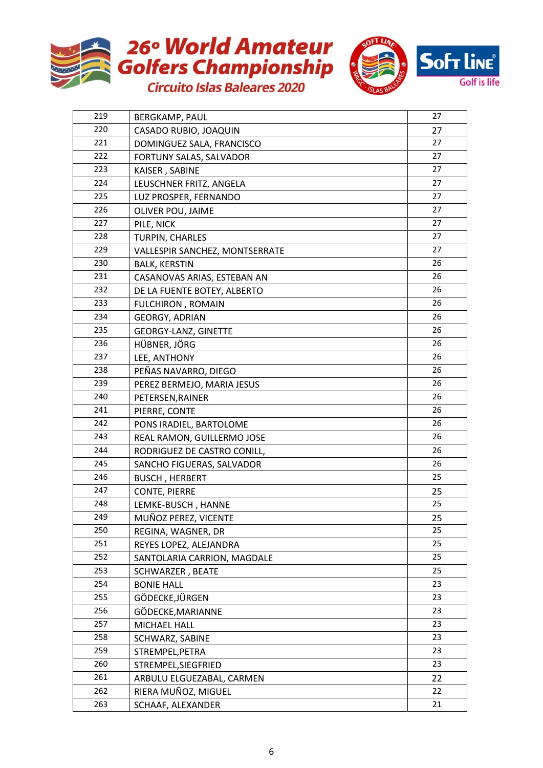



| 219 | <b>BERGKAMP, PAUL</b>          | 27 |
|-----|--------------------------------|----|
| 220 | CASADO RUBIO, JOAQUIN          | 27 |
| 221 | DOMINGUEZ SALA, FRANCISCO      | 27 |
| 222 | FORTUNY SALAS, SALVADOR        | 27 |
| 223 | KAISER, SABINE                 | 27 |
| 224 | LEUSCHNER FRITZ, ANGELA        | 27 |
| 225 | LUZ PROSPER, FERNANDO          | 27 |
| 226 | OLIVER POU, JAIME              | 27 |
| 227 | PILE, NICK                     | 27 |
| 228 | TURPIN, CHARLES                | 27 |
| 229 | VALLESPIR SANCHEZ, MONTSERRATE | 27 |
| 230 | <b>BALK, KERSTIN</b>           | 26 |
| 231 | CASANOVAS ARIAS, ESTEBAN AN    | 26 |
| 232 | DE LA FUENTE BOTEY, ALBERTO    | 26 |
| 233 | <b>FULCHIRON, ROMAIN</b>       | 26 |
| 234 | <b>GEORGY, ADRIAN</b>          | 26 |
| 235 | GEORGY-LANZ, GINETTE           | 26 |
| 236 | HÜBNER, JÖRG                   | 26 |
| 237 | LEE, ANTHONY                   | 26 |
| 238 | PEÑAS NAVARRO, DIEGO           | 26 |
| 239 | PEREZ BERMEJO, MARIA JESUS     | 26 |
| 240 | PETERSEN, RAINER               | 26 |
| 241 | PIERRE, CONTE                  | 26 |
| 242 | PONS IRADIEL, BARTOLOME        | 26 |
| 243 | REAL RAMON, GUILLERMO JOSE     | 26 |
| 244 | RODRIGUEZ DE CASTRO CONILL,    | 26 |
| 245 | SANCHO FIGUERAS, SALVADOR      | 26 |
| 246 | <b>BUSCH, HERBERT</b>          | 25 |
| 247 | <b>CONTE, PIERRE</b>           | 25 |
| 248 | LEMKE-BUSCH, HANNE             | 25 |
| 249 | MUÑOZ PEREZ, VICENTE           | 25 |
| 250 | REGINA, WAGNER, DR             | 25 |
| 251 | REYES LOPEZ, ALEJANDRA         | 25 |
| 252 | SANTOLARIA CARRION, MAGDALE    | 25 |
| 253 | <b>SCHWARZER, BEATE</b>        | 25 |
| 254 | <b>BONIE HALL</b>              | 23 |
| 255 | GÖDECKE, JÜRGEN                | 23 |
| 256 | GÖDECKE, MARIANNE              | 23 |
| 257 | MICHAEL HALL                   | 23 |
| 258 | SCHWARZ, SABINE                | 23 |
| 259 | STREMPEL, PETRA                | 23 |
| 260 | STREMPEL, SIEGFRIED            | 23 |
| 261 | ARBULU ELGUEZABAL, CARMEN      | 22 |
| 262 | RIERA MUÑOZ, MIGUEL            | 22 |
| 263 | SCHAAF, ALEXANDER              | 21 |